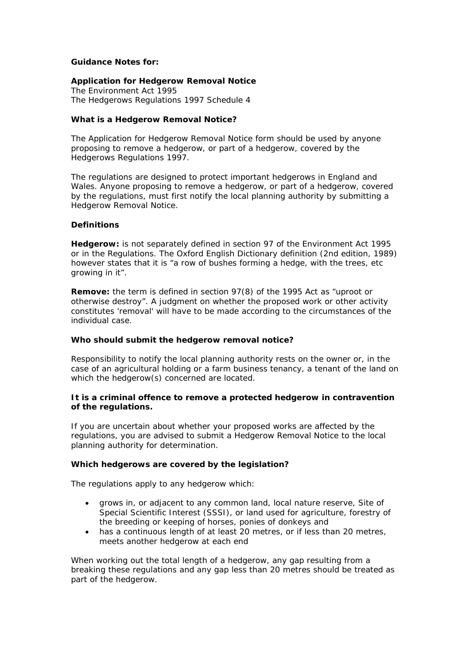# **Guidance Notes for:**

# **Application for Hedgerow Removal Notice**

*The Environment Act 1995 The Hedgerows Regulations 1997 Schedule 4* 

### **What is a Hedgerow Removal Notice?**

The Application for Hedgerow Removal Notice form should be used by anyone proposing to remove a hedgerow, or part of a hedgerow, covered by the Hedgerows Regulations 1997.

The regulations are designed to protect important hedgerows in England and Wales. Anyone proposing to remove a hedgerow, or part of a hedgerow, covered by the regulations, must first notify the local planning authority by submitting a Hedgerow Removal Notice.

# **Definitions**

**Hedgerow:** is not separately defined in section 97 of the Environment Act 1995 or in the Regulations. The Oxford English Dictionary definition (2nd edition, 1989) however states that it is *"a row of bushes forming a hedge, with the trees, etc growing in it"*.

**Remove:** the term is defined in section 97(8) of the 1995 Act as *"uproot or otherwise destroy"*. A judgment on whether the proposed work or other activity constitutes 'removal' will have to be made according to the circumstances of the individual case.

#### **Who should submit the hedgerow removal notice?**

Responsibility to notify the local planning authority rests on the owner or, in the case of an agricultural holding or a farm business tenancy, a tenant of the land on which the hedgerow(s) concerned are located.

# **It is a criminal offence to remove a protected hedgerow in contravention of the regulations.**

If you are uncertain about whether your proposed works are affected by the regulations, you are advised to submit a Hedgerow Removal Notice to the local planning authority for determination.

#### **Which hedgerows are covered by the legislation?**

The regulations apply to any hedgerow which:

- grows in, or adjacent to any common land, local nature reserve, Site of Special Scientific Interest (SSSI), or land used for agriculture, forestry of the breeding or keeping of horses, ponies of donkeys and
- has a continuous length of at least 20 metres, or if less than 20 metres, meets another hedgerow at each end

When working out the total length of a hedgerow, any gap resulting from a breaking these regulations and any gap less than 20 metres should be treated as part of the hedgerow.